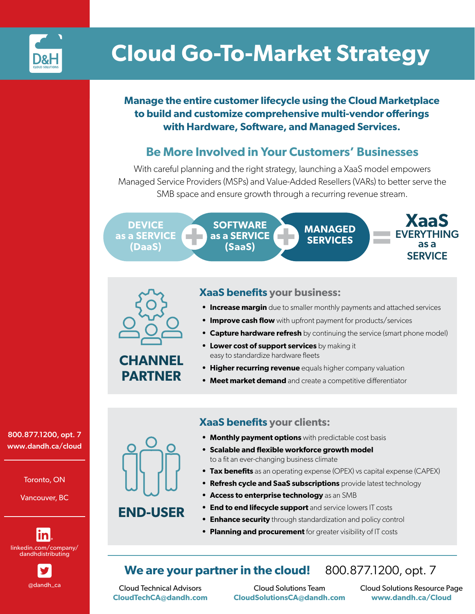

# **Cloud Go-To-Market Strategy**

**Manage the entire customer lifecycle using the Cloud Marketplace to build and customize comprehensive multi-vendor offerings with Hardware, Software, and Managed Services.**

#### **Be More Involved in Your Customers' Businesses**

With careful planning and the right strategy, launching a XaaS model empowers Managed Service Providers (MSPs) and Value-Added Resellers (VARs) to better serve the SMB space and ensure growth through a recurring revenue stream.





**CHANNEL** 

**PARTNER**

#### **XaaS benefits your business:**

- **• Increase margin** due to smaller monthly payments and attached services
- **Improve cash flow** with upfront payment for products/services
- **Capture hardware refresh** by continuing the service (smart phone model)
- **• Lower cost of support services** by making it easy to standardize hardware fleets
- **• Higher recurring revenue** equals higher company valuation
- **• Meet market demand** and create a competitive differentiator

800.877.1200, opt. 7 www.dandh.ca/cloud

Toronto, ON

Vancouver, BC







#### **XaaS benefits your clients:**

- **• Monthly payment options** with predictable cost basis
- **• Scalable and flexible workforce growth model**  to a fit an ever-changing business climate
- **• Tax benefits** as an operating expense (OPEX) vs capital expense (CAPEX)
- **• Refresh cycle and SaaS subscriptions** provide latest technology
- **• Access to enterprise technology** as an SMB
- **• End to end lifecycle support** and service lowers IT costs
- **• Enhance security** through standardization and policy control
- **• Planning and procurement** for greater visibility of IT costs

#### **We are your partner in the cloud!** 800.877.1200, opt. 7

Cloud Technical Advisors **CloudTechCA@dandh.com**

Cloud Solutions Team **CloudSolutionsCA@dandh.com** Cloud Solutions Resource Page **www.dandh.ca/Cloud**